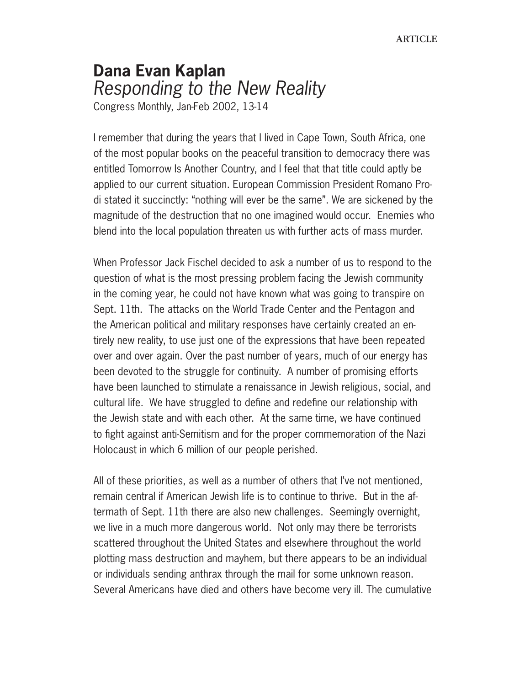## **Dana Evan Kaplan** Responding to the New Reality

Congress Monthly, Jan-Feb 2002, 13-14

I remember that during the years that I lived in Cape Town, South Africa, one of the most popular books on the peaceful transition to democracy there was entitled Tomorrow Is Another Country, and I feel that that title could aptly be applied to our current situation. European Commission President Romano Prodi stated it succinctly: "nothing will ever be the same". We are sickened by the magnitude of the destruction that no one imagined would occur. Enemies who blend into the local population threaten us with further acts of mass murder.

When Professor Jack Fischel decided to ask a number of us to respond to the question of what is the most pressing problem facing the Jewish community in the coming year, he could not have known what was going to transpire on Sept. 11th. The attacks on the World Trade Center and the Pentagon and the American political and military responses have certainly created an entirely new reality, to use just one of the expressions that have been repeated over and over again. Over the past number of years, much of our energy has been devoted to the struggle for continuity. A number of promising efforts have been launched to stimulate a renaissance in Jewish religious, social, and cultural life. We have struggled to define and redefine our relationship with the Jewish state and with each other. At the same time, we have continued to fight against anti-Semitism and for the proper commemoration of the Nazi Holocaust in which 6 million of our people perished.

All of these priorities, as well as a number of others that I've not mentioned, remain central if American Jewish life is to continue to thrive. But in the aftermath of Sept. 11th there are also new challenges. Seemingly overnight, we live in a much more dangerous world. Not only may there be terrorists scattered throughout the United States and elsewhere throughout the world plotting mass destruction and mayhem, but there appears to be an individual or individuals sending anthrax through the mail for some unknown reason. Several Americans have died and others have become very ill. The cumulative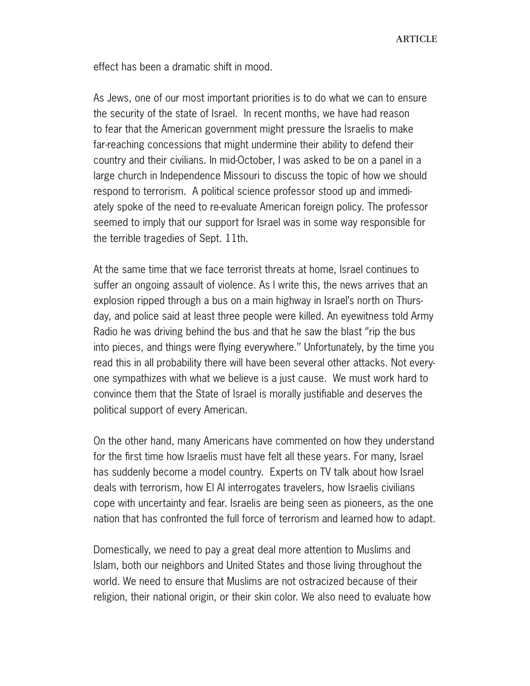**ARTICLE** 

effect has been a dramatic shift in mood.

As Jews, one of our most important priorities is to do what we can to ensure the security of the state of Israel. In recent months, we have had reason to fear that the American government might pressure the Israelis to make far-reaching concessions that might undermine their ability to defend their country and their civilians. In mid-October, I was asked to be on a panel in a large church in Independence Missouri to discuss the topic of how we should respond to terrorism. A political science professor stood up and immediately spoke of the need to re-evaluate American foreign policy. The professor seemed to imply that our support for Israel was in some way responsible for the terrible tragedies of Sept. 11th.

At the same time that we face terrorist threats at home, Israel continues to suffer an ongoing assault of violence. As I write this, the news arrives that an explosion ripped through a bus on a main highway in Israel's north on Thursday, and police said at least three people were killed. An eyewitness told Army Radio he was driving behind the bus and that he saw the blast ''rip the bus into pieces, and things were flying everywhere.'' Unfortunately, by the time you read this in all probability there will have been several other attacks. Not everyone sympathizes with what we believe is a just cause. We must work hard to convince them that the State of Israel is morally justifiable and deserves the political support of every American.

On the other hand, many Americans have commented on how they understand for the first time how Israelis must have felt all these years. For many, Israel has suddenly become a model country. Experts on TV talk about how Israel deals with terrorism, how El Al interrogates travelers, how Israelis civilians cope with uncertainty and fear. Israelis are being seen as pioneers, as the one nation that has confronted the full force of terrorism and learned how to adapt.

Domestically, we need to pay a great deal more attention to Muslims and Islam, both our neighbors and United States and those living throughout the world. We need to ensure that Muslims are not ostracized because of their religion, their national origin, or their skin color. We also need to evaluate how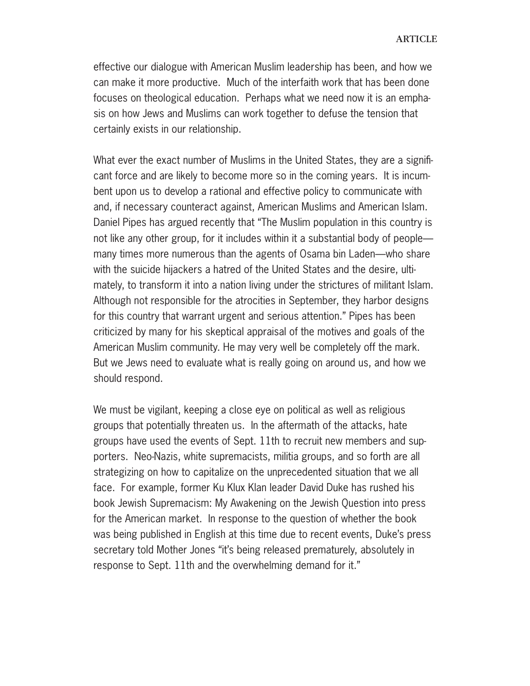effective our dialogue with American Muslim leadership has been, and how we can make it more productive. Much of the interfaith work that has been done focuses on theological education. Perhaps what we need now it is an emphasis on how Jews and Muslims can work together to defuse the tension that certainly exists in our relationship.

What ever the exact number of Muslims in the United States, they are a significant force and are likely to become more so in the coming years. It is incumbent upon us to develop a rational and effective policy to communicate with and, if necessary counteract against, American Muslims and American Islam. Daniel Pipes has argued recently that "The Muslim population in this country is not like any other group, for it includes within it a substantial body of people many times more numerous than the agents of Osama bin Laden—who share with the suicide hijackers a hatred of the United States and the desire, ultimately, to transform it into a nation living under the strictures of militant Islam. Although not responsible for the atrocities in September, they harbor designs for this country that warrant urgent and serious attention." Pipes has been criticized by many for his skeptical appraisal of the motives and goals of the American Muslim community. He may very well be completely off the mark. But we Jews need to evaluate what is really going on around us, and how we should respond.

We must be vigilant, keeping a close eye on political as well as religious groups that potentially threaten us. In the aftermath of the attacks, hate groups have used the events of Sept. 11th to recruit new members and supporters. Neo-Nazis, white supremacists, militia groups, and so forth are all strategizing on how to capitalize on the unprecedented situation that we all face. For example, former Ku Klux Klan leader David Duke has rushed his book Jewish Supremacism: My Awakening on the Jewish Question into press for the American market. In response to the question of whether the book was being published in English at this time due to recent events, Duke's press secretary told Mother Jones "it's being released prematurely, absolutely in response to Sept. 11th and the overwhelming demand for it."